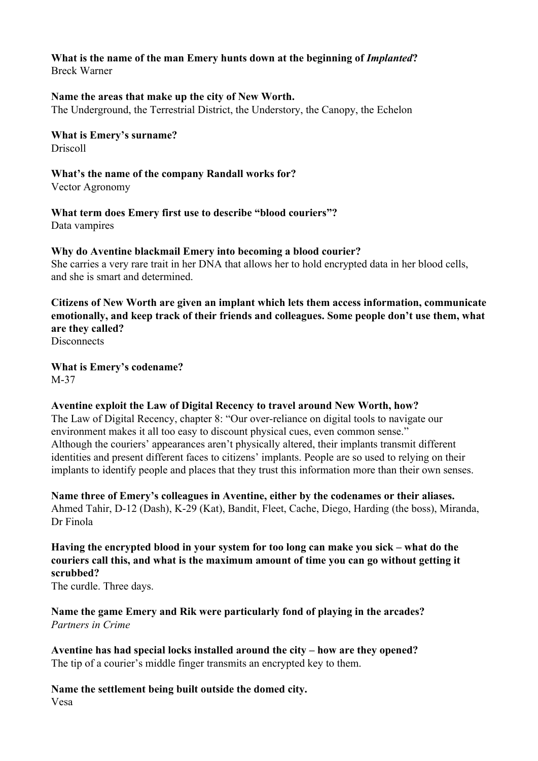# **What is the name of the man Emery hunts down at the beginning of** *Implanted***?**

Breck Warner

#### **Name the areas that make up the city of New Worth.**

The Underground, the Terrestrial District, the Understory, the Canopy, the Echelon

#### **What is Emery's surname?** Driscoll

## **What's the name of the company Randall works for?**

Vector Agronomy

# **What term does Emery first use to describe "blood couriers"?**

Data vampires

## **Why do Aventine blackmail Emery into becoming a blood courier?**

She carries a very rare trait in her DNA that allows her to hold encrypted data in her blood cells, and she is smart and determined.

## **Citizens of New Worth are given an implant which lets them access information, communicate emotionally, and keep track of their friends and colleagues. Some people don't use them, what are they called?**

**Disconnects** 

**What is Emery's codename?** M-37

## **Aventine exploit the Law of Digital Recency to travel around New Worth, how?**

The Law of Digital Recency, chapter 8: "Our over-reliance on digital tools to navigate our environment makes it all too easy to discount physical cues, even common sense." Although the couriers' appearances aren't physically altered, their implants transmit different identities and present different faces to citizens' implants. People are so used to relying on their implants to identify people and places that they trust this information more than their own senses.

**Name three of Emery's colleagues in Aventine, either by the codenames or their aliases.** Ahmed Tahir, D-12 (Dash), K-29 (Kat), Bandit, Fleet, Cache, Diego, Harding (the boss), Miranda, Dr Finola

## **Having the encrypted blood in your system for too long can make you sick – what do the couriers call this, and what is the maximum amount of time you can go without getting it scrubbed?**

The curdle. Three days.

#### **Name the game Emery and Rik were particularly fond of playing in the arcades?** *Partners in Crime*

**Aventine has had special locks installed around the city – how are they opened?** The tip of a courier's middle finger transmits an encrypted key to them.

## **Name the settlement being built outside the domed city.** Vesa